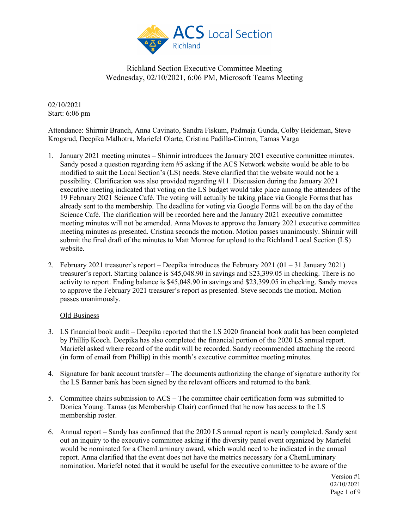

02/10/2021 Start: 6:06 pm

Attendance: Shirmir Branch, Anna Cavinato, Sandra Fiskum, Padmaja Gunda, Colby Heideman, Steve Krogsrud, Deepika Malhotra, Mariefel Olarte, Cristina Padilla-Cintron, Tamas Varga

- 1. January 2021 meeting minutes Shirmir introduces the January 2021 executive committee minutes. Sandy posed a question regarding item #5 asking if the ACS Network website would be able to be modified to suit the Local Section's (LS) needs. Steve clarified that the website would not be a possibility. Clarification was also provided regarding #11. Discussion during the January 2021 executive meeting indicated that voting on the LS budget would take place among the attendees of the 19 February 2021 Science Café. The voting will actually be taking place via Google Forms that has already sent to the membership. The deadline for voting via Google Forms will be on the day of the Science Café. The clarification will be recorded here and the January 2021 executive committee meeting minutes will not be amended. Anna Moves to approve the January 2021 executive committee meeting minutes as presented. Cristina seconds the motion. Motion passes unanimously. Shirmir will submit the final draft of the minutes to Matt Monroe for upload to the Richland Local Section (LS) website.
- 2. February 2021 treasurer's report Deepika introduces the February 2021 (01 31 January 2021) treasurer's report. Starting balance is \$45,048.90 in savings and \$23,399.05 in checking. There is no activity to report. Ending balance is \$45,048.90 in savings and \$23,399.05 in checking. Sandy moves to approve the February 2021 treasurer's report as presented. Steve seconds the motion. Motion passes unanimously.

#### Old Business

- 3. LS financial book audit Deepika reported that the LS 2020 financial book audit has been completed by Phillip Koech. Deepika has also completed the financial portion of the 2020 LS annual report. Mariefel asked where record of the audit will be recorded. Sandy recommended attaching the record (in form of email from Phillip) in this month's executive committee meeting minutes.
- 4. Signature for bank account transfer The documents authorizing the change of signature authority for the LS Banner bank has been signed by the relevant officers and returned to the bank.
- 5. Committee chairs submission to ACS The committee chair certification form was submitted to Donica Young. Tamas (as Membership Chair) confirmed that he now has access to the LS membership roster.
- 6. Annual report Sandy has confirmed that the 2020 LS annual report is nearly completed. Sandy sent out an inquiry to the executive committee asking if the diversity panel event organized by Mariefel would be nominated for a ChemLuminary award, which would need to be indicated in the annual report. Anna clarified that the event does not have the metrics necessary for a ChemLuminary nomination. Mariefel noted that it would be useful for the executive committee to be aware of the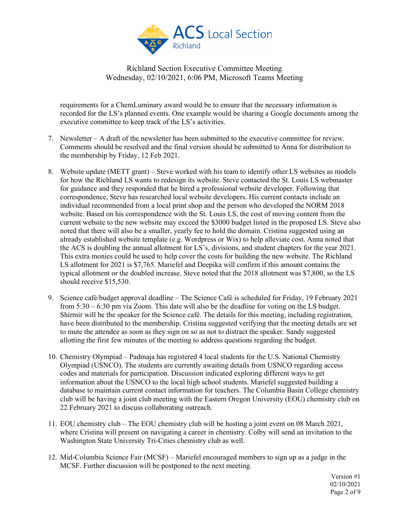

requirements for a ChemLuminary award would be to ensure that the necessary information is recorded for the LS's planned events. One example would be sharing a Google documents among the executive committee to keep track of the LS's activities.

- 7. Newsletter A draft of the newsletter has been submitted to the executive committee for review. Comments should be resolved and the final version should be submitted to Anna for distribution to the membership by Friday, 12 Feb 2021.
- 8. Website update (METT grant) Steve worked with his team to identify other LS websites as models for how the Richland LS wants to redesign its website. Steve contacted the St. Louis LS webmaster for guidance and they responded that he hired a professional website developer. Following that correspondence, Steve has researched local website developers. His current contacts include an individual recommended from a local print shop and the person who developed the NORM 2018 website. Based on his correspondence with the St. Louis LS, the cost of moving content from the current website to the new website may exceed the \$3000 budget listed in the proposed LS. Steve also noted that there will also be a smaller, yearly fee to hold the domain. Cristina suggested using an already established website template (e.g. Wordpress or Wix) to help alleviate cost. Anna noted that the ACS is doubling the annual allotment for LS's, divisions, and student chapters for the year 2021. This extra monies could be used to help cover the costs for building the new website. The Richland LS allotment for 2021 is \$7,765. Mariefel and Deepika will confirm if this amount contains the typical allotment or the doubled increase. Steve noted that the 2018 allotment was \$7,800, so the LS should receive \$15,530.
- 9. Science café/budget approval deadline The Science Café is scheduled for Friday, 19 February 2021 from 5:30 – 6:30 pm via Zoom. This date will also be the deadline for voting on the LS budget. Shirmir will be the speaker for the Science café. The details for this meeting, including registration, have been distributed to the membership. Cristina suggested verifying that the meeting details are set to mute the attendee as soon as they sign on so as not to distract the speaker. Sandy suggested allotting the first few minutes of the meeting to address questions regarding the budget.
- 10. Chemistry Olympiad Padmaja has registered 4 local students for the U.S. National Chemistry Olympiad (USNCO). The students are currently awaiting details from USNCO regarding access codes and materials for participation. Discussion indicated exploring different ways to get information about the USNCO to the local high school students. Mariefel suggested building a database to maintain current contact information for teachers. The Columbia Basin College chemistry club will be having a joint club meeting with the Eastern Oregon University (EOU) chemistry club on 22 February 2021 to discuss collaborating outreach.
- 11. EOU chemistry club The EOU chemistry club will be hosting a joint event on 08 March 2021, where Cristina will present on navigating a career in chemistry. Colby will send an invitation to the Washington State University Tri-Cities chemistry club as well.
- 12. Mid-Columbia Science Fair (MCSF) Mariefel encouraged members to sign up as a judge in the MCSF. Further discussion will be postponed to the next meeting.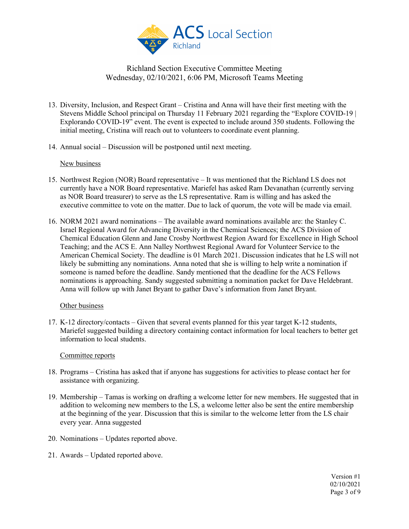

- 13. Diversity, Inclusion, and Respect Grant Cristina and Anna will have their first meeting with the Stevens Middle School principal on Thursday 11 February 2021 regarding the "Explore COVID-19 | Explorando COVID-19" event. The event is expected to include around 350 students. Following the initial meeting, Cristina will reach out to volunteers to coordinate event planning.
- 14. Annual social Discussion will be postponed until next meeting.

#### New business

- 15. Northwest Region (NOR) Board representative It was mentioned that the Richland LS does not currently have a NOR Board representative. Mariefel has asked Ram Devanathan (currently serving as NOR Board treasurer) to serve as the LS representative. Ram is willing and has asked the executive committee to vote on the matter. Due to lack of quorum, the vote will be made via email.
- 16. NORM 2021 award nominations The available award nominations available are: the Stanley C. Israel Regional Award for Advancing Diversity in the Chemical Sciences; the ACS Division of Chemical Education Glenn and Jane Crosby Northwest Region Award for Excellence in High School Teaching; and the ACS E. Ann Nalley Northwest Regional Award for Volunteer Service to the American Chemical Society. The deadline is 01 March 2021. Discussion indicates that he LS will not likely be submitting any nominations. Anna noted that she is willing to help write a nomination if someone is named before the deadline. Sandy mentioned that the deadline for the ACS Fellows nominations is approaching. Sandy suggested submitting a nomination packet for Dave Heldebrant. Anna will follow up with Janet Bryant to gather Dave's information from Janet Bryant.

#### Other business

17. K-12 directory/contacts – Given that several events planned for this year target K-12 students, Mariefel suggested building a directory containing contact information for local teachers to better get information to local students.

#### Committee reports

- 18. Programs Cristina has asked that if anyone has suggestions for activities to please contact her for assistance with organizing.
- 19. Membership Tamas is working on drafting a welcome letter for new members. He suggested that in addition to welcoming new members to the LS, a welcome letter also be sent the entire membership at the beginning of the year. Discussion that this is similar to the welcome letter from the LS chair every year. Anna suggested
- 20. Nominations Updates reported above.
- 21. Awards Updated reported above.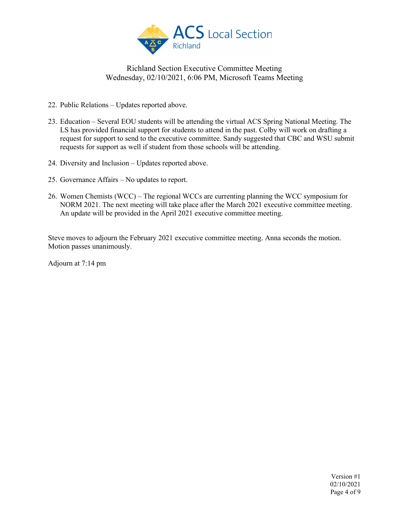

- 22. Public Relations Updates reported above.
- 23. Education Several EOU students will be attending the virtual ACS Spring National Meeting. The LS has provided financial support for students to attend in the past. Colby will work on drafting a request for support to send to the executive committee. Sandy suggested that CBC and WSU submit requests for support as well if student from those schools will be attending.
- 24. Diversity and Inclusion Updates reported above.
- 25. Governance Affairs No updates to report.
- 26. Women Chemists (WCC) The regional WCCs are currenting planning the WCC symposium for NORM 2021. The next meeting will take place after the March 2021 executive committee meeting. An update will be provided in the April 2021 executive committee meeting.

Steve moves to adjourn the February 2021 executive committee meeting. Anna seconds the motion. Motion passes unanimously.

Adjourn at 7:14 pm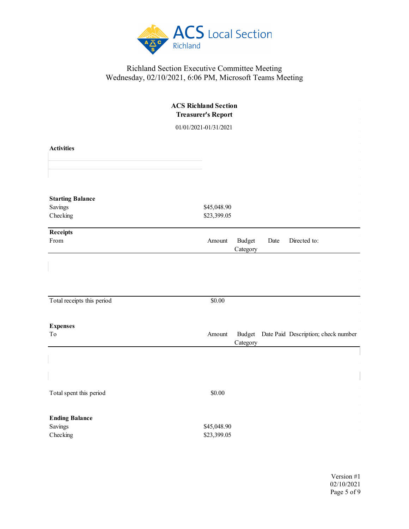

| <b>ACS Richland Section</b><br><b>Treasurer's Report</b><br>01/01/2021-01/31/2021 |                                                                  |  |  |  |  |  |
|-----------------------------------------------------------------------------------|------------------------------------------------------------------|--|--|--|--|--|
|                                                                                   |                                                                  |  |  |  |  |  |
| <b>Starting Balance</b><br>Savings<br>Checking                                    | \$45,048.90<br>\$23,399.05                                       |  |  |  |  |  |
| Receipts<br>From                                                                  | <b>Budget</b><br>Date<br>Directed to:<br>Amount<br>Category      |  |  |  |  |  |
| Total receipts this period                                                        | \$0.00                                                           |  |  |  |  |  |
| <b>Expenses</b>                                                                   |                                                                  |  |  |  |  |  |
| To                                                                                | Budget Date Paid Description; check number<br>Amount<br>Category |  |  |  |  |  |
|                                                                                   |                                                                  |  |  |  |  |  |
| Total spent this period                                                           | \$0.00                                                           |  |  |  |  |  |
| <b>Ending Balance</b><br>Savings<br>Checking                                      | \$45,048.90<br>\$23,399.05                                       |  |  |  |  |  |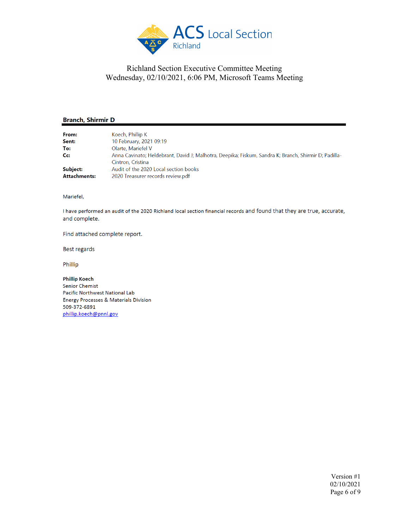

#### **Branch, Shirmir D**

| From:               | Koech, Phillip K                                                                                     |  |
|---------------------|------------------------------------------------------------------------------------------------------|--|
| Sent:               | 10 February, 2021 09:19                                                                              |  |
| To:                 | Olarte, Mariefel V                                                                                   |  |
| $C_{\mathbf{C}}$    | Anna Cavinato; Heldebrant, David J; Malhotra, Deepika; Fiskum, Sandra K; Branch, Shirmir D; Padilla- |  |
|                     | Cintron, Cristina                                                                                    |  |
| Subject:            | Audit of the 2020 Local section books                                                                |  |
| <b>Attachments:</b> | 2020 Treasurer records review.pdf                                                                    |  |

Mariefel,

I have performed an audit of the 2020 Richland local section financial records and found that they are true, accurate, and complete.

Find attached complete report.

Best regards

Phillip

**Phillip Koech Senior Chemist** Pacific Northwest National Lab Energy Processes & Materials Division 509-372-6891 phillip.koech@pnnl.gov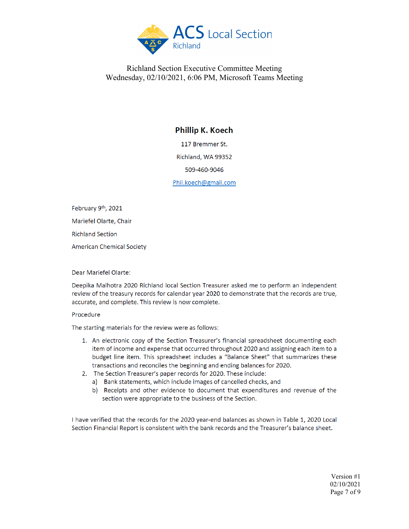

## **Phillip K. Koech**

117 Bremmer St.

Richland, WA 99352

509-460-9046

Phil.koech@gmail.com

February 9th, 2021 Mariefel Olarte, Chair **Richland Section** American Chemical Society

Dear Mariefel Olarte:

Deepika Malhotra 2020 Richland local Section Treasurer asked me to perform an independent review of the treasury records for calendar year 2020 to demonstrate that the records are true, accurate, and complete. This review is now complete.

#### Procedure

The starting materials for the review were as follows:

- 1. An electronic copy of the Section Treasurer's financial spreadsheet documenting each item of income and expense that occurred throughout 2020 and assigning each item to a budget line item. This spreadsheet includes a "Balance Sheet" that summarizes these transactions and reconciles the beginning and ending balances for 2020.
- 2. The Section Treasurer's paper records for 2020. These include:
	- a) Bank statements, which include images of cancelled checks, and
	- b) Receipts and other evidence to document that expenditures and revenue of the section were appropriate to the business of the Section.

I have verified that the records for the 2020 year-end balances as shown in Table 1, 2020 Local Section Financial Report is consistent with the bank records and the Treasurer's balance sheet.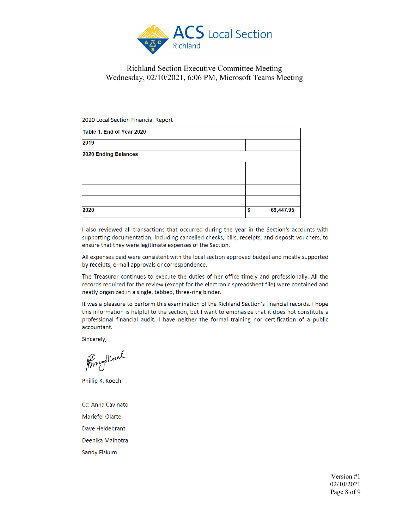

#### 2020 Local Section Financial Report

| Table 1. End of Year 2020 |    |           |
|---------------------------|----|-----------|
| 2019                      |    |           |
| 2020 Ending Balances      |    |           |
|                           |    |           |
|                           |    |           |
|                           |    |           |
|                           |    |           |
| 2020                      | \$ | 69,447.95 |

I also reviewed all transactions that occurred during the year in the Section's accounts with supporting documentation, including cancelled checks, bills, receipts, and deposit vouchers, to ensure that they were legitimate expenses of the Section.

All expenses paid were consistent with the local section approved budget and mostly supported by receipts, e-mail approvals or correspondence.

The Treasurer continues to execute the duties of her office timely and professionally. All the records required for the review (except for the electronic spreadsheet file) were contained and neatly organized in a single, tabbed, three-ring binder.

It was a pleasure to perform this examination of the Richland Section's financial records. I hope this information is helpful to the section, but I want to emphasize that it does not constitute a professional financial audit. I have neither the formal training nor certification of a public accountant.

Sincerely,

Prompostered

Phillip K. Koech

Cc: Anna Cavinato Mariefel Olarte Dave Heldebrant Deepika Malhotra Sandy Fiskum

> Version #1 02/10/2021 Page 8 of 9